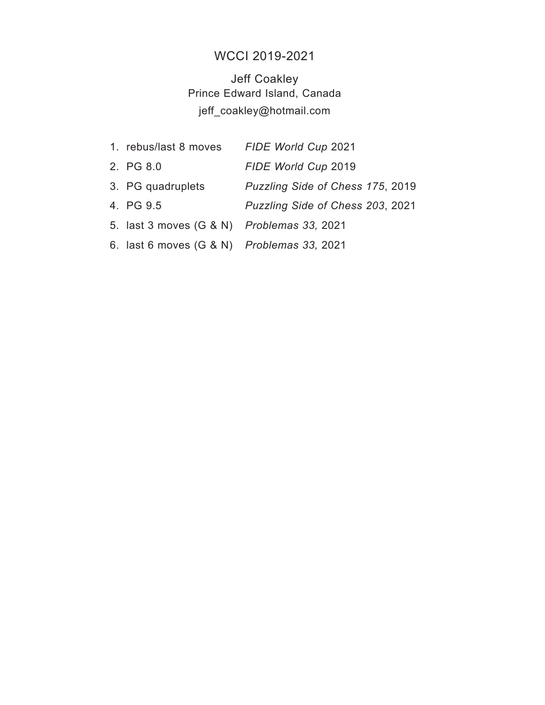## WCCI 2019-2021

Jeff Coakley Prince Edward Island, Canada jeff\_coakley@hotmail.com

| 1. rebus/last 8 moves                      | FIDE World Cup 2021              |
|--------------------------------------------|----------------------------------|
| 2. PG 8.0                                  | FIDE World Cup 2019              |
| 3. PG quadruplets                          | Puzzling Side of Chess 175, 2019 |
| 4. PG 9.5                                  | Puzzling Side of Chess 203, 2021 |
| 5. last 3 moves (G & N) Problemas 33, 2021 |                                  |
| 6. last 6 moves (G & N) Problemas 33, 2021 |                                  |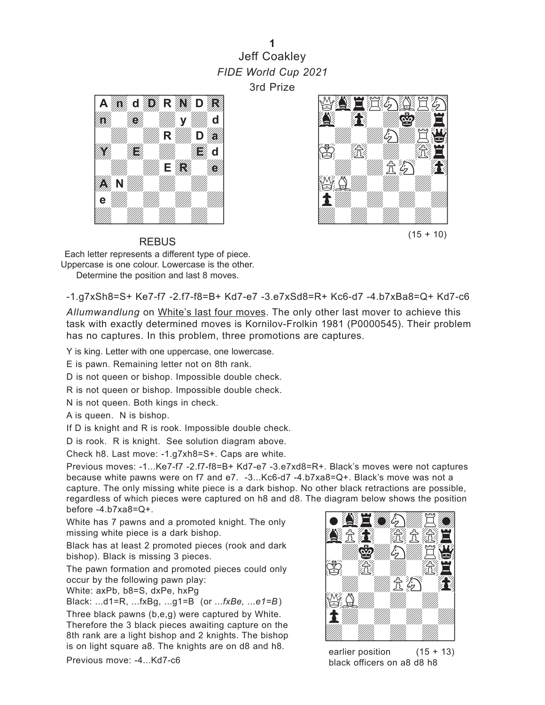## **1** Jeff Coakley *FIDE World Cup 2021* 3rd Prize





Each letter represents a different type of piece. Uppercase is one colour. Lowercase is the other. Determine the position and last 8 moves.

REBUS

-1.g7xSh8=S+ Ke7-f7 -2.f7-f8=B+ Kd7-e7 -3.e7xSd8=R+ Kc6-d7 -4.b7xBa8=Q+ Kd7-c6

*Allumwandlung* on White's last four moves. The only other last mover to achieve this task with exactly determined moves is Kornilov-Frolkin 1981 (P0000545). Their problem has no captures. In this problem, three promotions are captures.

Y is king. Letter with one uppercase, one lowercase.

E is pawn. Remaining letter not on 8th rank.

D is not queen or bishop. Impossible double check.

R is not queen or bishop. Impossible double check.

N is not queen. Both kings in check.

A is queen. N is bishop.

If D is knight and R is rook. Impossible double check.

D is rook. R is knight. See solution diagram above.

Check h8. Last move: -1.g7xh8=S+. Caps are white.

Previous moves: -1...Ke7-f7 -2.f7-f8=B+ Kd7-e7 -3.e7xd8=R+. Black's moves were not captures because white pawns were on f7 and e7. -3...Kc6-d7 -4.b7xa8=Q+. Black's move was not a capture. The only missing white piece is a dark bishop. No other black retractions are possible, regardless of which pieces were captured on h8 and d8. The diagram below shows the position<br>before -4.b7xa8=Q+. before -4.b7xa8=Q+.

White has 7 pawns and a promoted knight. The only missing white piece is a dark bishop.

Black has at least 2 promoted pieces (rook and dark bishop). Black is missing 3 pieces.

The pawn formation and promoted pieces could only occur by the following pawn play:

White: axPb, b8=S, dxPe, hxPg

Black: ...d1=R, ...fxBg, ...g1=B (or *...fxBe, ...e1=B*)

Three black pawns (b,e,g) were captured by White. Therefore the 3 black pieces awaiting capture on the 8th rank are a light bishop and 2 knights. The bishop is on light square a8. The knights are on d8 and h8.

Previous move: -4...Kd7-c6



earlier position  $(15 + 13)$ black officers on a8 d8 h8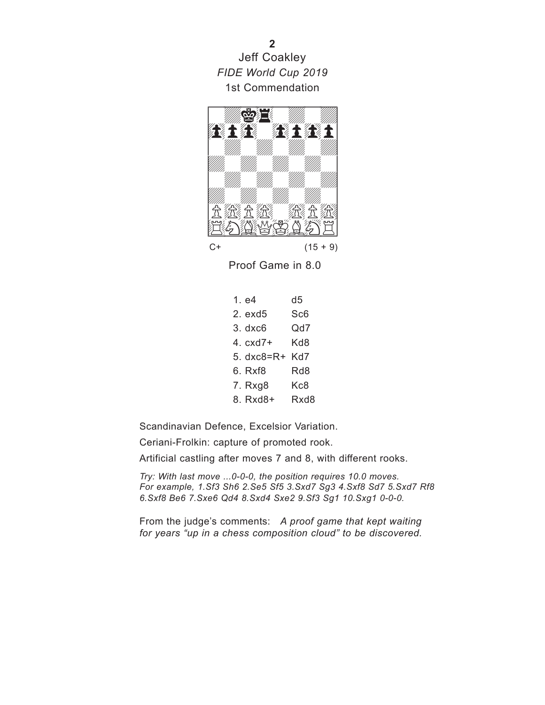Jeff Coakley *FIDE World Cup 2019* 1st Commendation



Proof Game in 8.0

1. e4 d5 2. exd5 Sc6 3. dxc6 Qd7 4. cxd7+ Kd8 5. dxc8=R+ Kd7 6. Rxf8 Rd8 7. Rxg8 Kc8 8. Rxd8+ Rxd8

Scandinavian Defence, Excelsior Variation.

Ceriani-Frolkin: capture of promoted rook.

Artificial castling after moves 7 and 8, with different rooks.

*Try: With last move ...0-0-0, the position requires 10.0 moves. For example, 1.Sf3 Sh6 2.Se5 Sf5 3.Sxd7 Sg3 4.Sxf8 Sd7 5.Sxd7 Rf8 6.Sxf8 Be6 7.Sxe6 Qd4 8.Sxd4 Sxe2 9.Sf3 Sg1 10.Sxg1 0-0-0.*

From the judge's comments: *A proof game that kept waiting for years "up in a chess composition cloud" to be discovered.*

**2**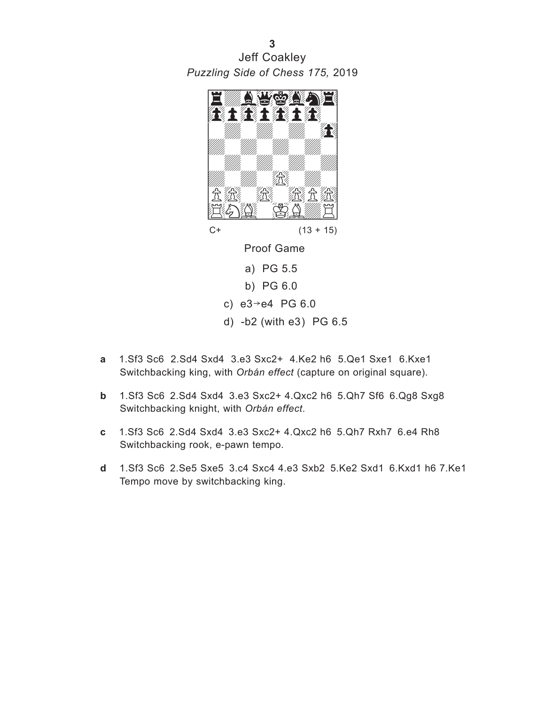w\_\_\_\_\_\_\_\_w *Puzzling Side of Chess 175,* 2019 **3** Jeff Coakley



- c)  $e3 e4$  PG 6.0
- d) -b2 (with e3) PG 6.5
- **a** 1.Sf3 Sc6 2.Sd4 Sxd4 3.e3 Sxc2+ 4.Ke2 h6 5.Qe1 Sxe1 6.Kxe1 Switchbacking king, with *Orbán effect* (capture on original square).
- **b** 1.Sf3 Sc6 2.Sd4 Sxd4 3.e3 Sxc2+ 4.Qxc2 h6 5.Qh7 Sf6 6.Qg8 Sxg8 Switchbacking knight, with *Orbán effect*.
- **c** 1.Sf3 Sc6 2.Sd4 Sxd4 3.e3 Sxc2+ 4.Qxc2 h6 5.Qh7 Rxh7 6.e4 Rh8 Switchbacking rook, e-pawn tempo.
- **d** 1.Sf3 Sc6 2.Se5 Sxe5 3.c4 Sxc4 4.e3 Sxb2 5.Ke2 Sxd1 6.Kxd1 h6 7.Ke1 Tempo move by switchbacking king.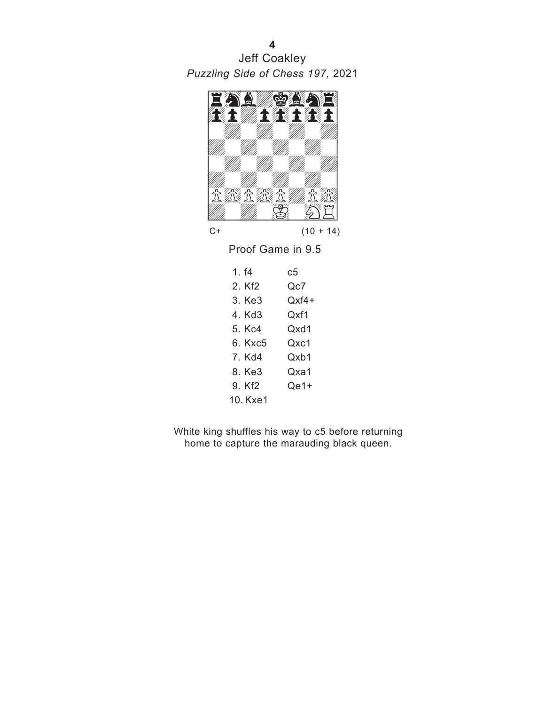w\_\_\_\_\_\_\_\_w *Puzzling Side of Chess 197,* 2021 **4** Jeff Coakley



 $C+$  (10 + 14)

Proof Game in 9.5

| 1 f4    | c:5    |
|---------|--------|
| 2 Kf2   | Qc7    |
| 3. Ke3  | Oxf4+  |
| 4. Kd3  | Oxf1   |
| 5 Kc4   | Oxd1   |
| 6 Kxc5  | Qxc1   |
| 7 Kd4   | Oxh1   |
| 8. Ke3  | Oxa1   |
| 9. Kf2  | $Qe1+$ |
| 10 Kxe1 |        |
|         |        |

White king shuffles his way to c5 before returning home to capture the marauding black queen.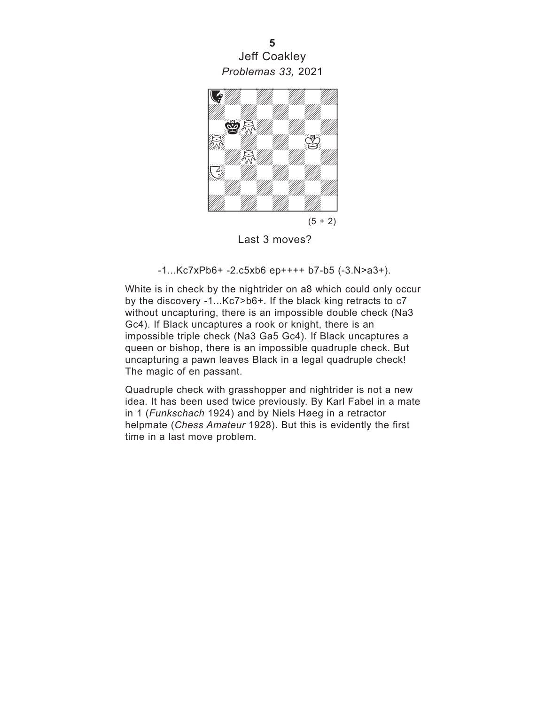w\_\_\_\_\_\_\_\_w *Problemas 33,* 2021 **5** Jeff Coakley



 $(5 + 2)$ 

Last 3 moves?

-1...Kc7xPb6+ -2.c5xb6 ep++++ b7-b5 (-3.N>a3+).

White is in check by the nightrider on a8 which could only occur by the discovery -1...Kc7>b6+. If the black king retracts to c7 without uncapturing, there is an impossible double check (Na3 Gc4). If Black uncaptures a rook or knight, there is an impossible triple check (Na3 Ga5 Gc4). If Black uncaptures a queen or bishop, there is an impossible quadruple check. But uncapturing a pawn leaves Black in a legal quadruple check! The magic of en passant.

Quadruple check with grasshopper and nightrider is not a new idea. It has been used twice previously. By Karl Fabel in a mate in 1 (*Funkschach* 1924) and by Niels Høeg in a retractor helpmate (*Chess Amateur* 1928). But this is evidently the first time in a last move problem.